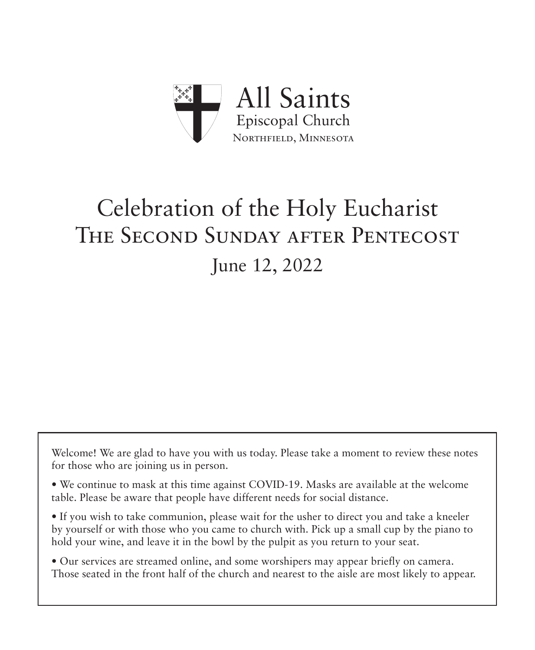

# Celebration of the Holy Eucharist The Second Sunday after Pentecost June 12, 2022

Welcome! We are glad to have you with us today. Please take a moment to review these notes for those who are joining us in person.

• We continue to mask at this time against COVID-19. Masks are available at the welcome table. Please be aware that people have different needs for social distance.

• If you wish to take communion, please wait for the usher to direct you and take a kneeler by yourself or with those who you came to church with. Pick up a small cup by the piano to hold your wine, and leave it in the bowl by the pulpit as you return to your seat.

• Our services are streamed online, and some worshipers may appear briefly on camera. Those seated in the front half of the church and nearest to the aisle are most likely to appear.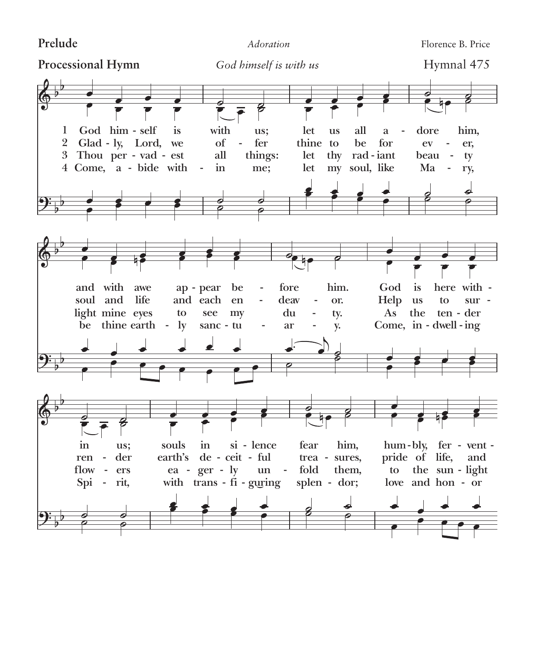**Prelude** *Adoration* Florence B. Price

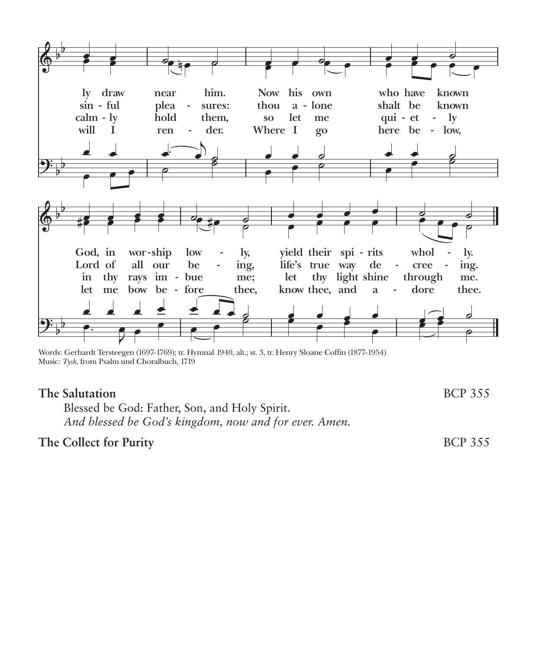

Words: Gerhardt Tersteegen (1697-1769); tr. Hymnal 1940, alt.; st. 3, tr. Henry Sloane Coffin (1877-1954) Music: Tysk, from Psalm und Choralbuch, 1719

#### The Salutation

Blessed be God: Father, Son, and Holy Spirit. And blessed be God's kingdom, now and for ever. Amen.

The Collect for Purity

**BCP 355** 

**BCP 355**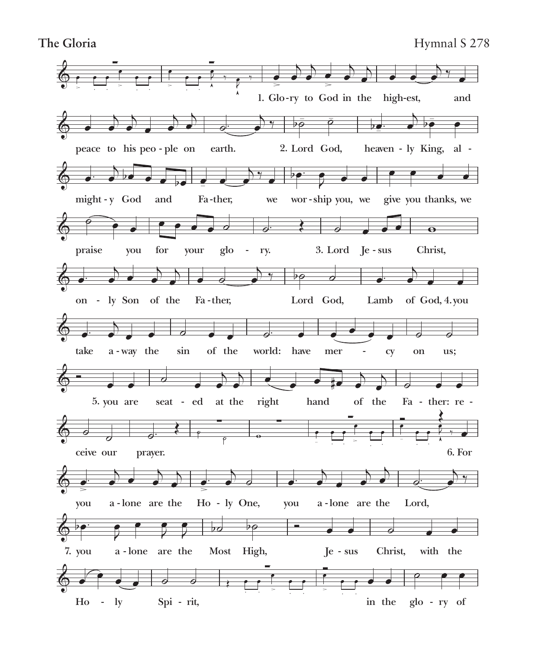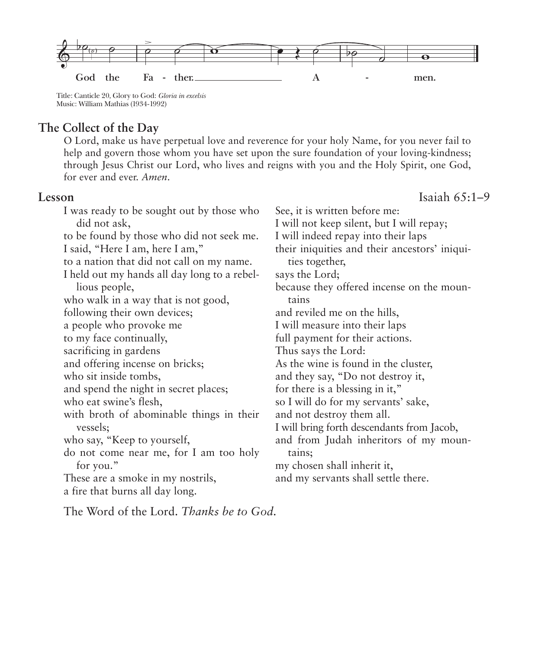

Title: Canticle 20, Glory to God: Gloria in excelsis Music: William Mathias (1934-1992)

### The Collect of the Day

O Lord, make us have perpetual love and reverence for your holy Name, for you never fail to help and govern those whom you have set upon the sure foundation of your loving-kindness; through Jesus Christ our Lord, who lives and reigns with you and the Holy Spirit, one God, for ever and ever. Amen.

#### Lesson

#### Isaiah  $65:1-9$

| I was ready to be sought out by those who<br>did not ask,<br>to be found by those who did not seek me. | See, it is written before me:<br>I will not keep silent, but I will repay;<br>I will indeed repay into their laps |
|--------------------------------------------------------------------------------------------------------|-------------------------------------------------------------------------------------------------------------------|
| I said, "Here I am, here I am,"                                                                        | their iniquities and their ancestors' iniqui-                                                                     |
| to a nation that did not call on my name.                                                              | ties together,                                                                                                    |
| I held out my hands all day long to a rebel-                                                           | says the Lord;                                                                                                    |
| lious people,                                                                                          | because they offered incense on the moun-                                                                         |
| who walk in a way that is not good,                                                                    | tains                                                                                                             |
| following their own devices;                                                                           | and reviled me on the hills,                                                                                      |
| a people who provoke me                                                                                | I will measure into their laps                                                                                    |
| to my face continually,                                                                                | full payment for their actions.                                                                                   |
| sacrificing in gardens                                                                                 | Thus says the Lord:                                                                                               |
| and offering incense on bricks;                                                                        | As the wine is found in the cluster,                                                                              |
| who sit inside tombs,                                                                                  | and they say, "Do not destroy it,                                                                                 |
| and spend the night in secret places;                                                                  | for there is a blessing in it,"                                                                                   |
| who eat swine's flesh,                                                                                 | so I will do for my servants' sake,                                                                               |
| with broth of abominable things in their                                                               | and not destroy them all.                                                                                         |
| vessels;                                                                                               | I will bring forth descendants from Jacob,                                                                        |
| who say, "Keep to yourself,                                                                            | and from Judah inheritors of my moun-                                                                             |
| do not come near me, for I am too holy                                                                 | tains;                                                                                                            |
| for you."                                                                                              | my chosen shall inherit it,                                                                                       |
| These are a smoke in my nostrils,                                                                      | and my servants shall settle there.                                                                               |
| a fire that burns all day long.                                                                        |                                                                                                                   |
|                                                                                                        |                                                                                                                   |

The Word of the Lord. Thanks be to God.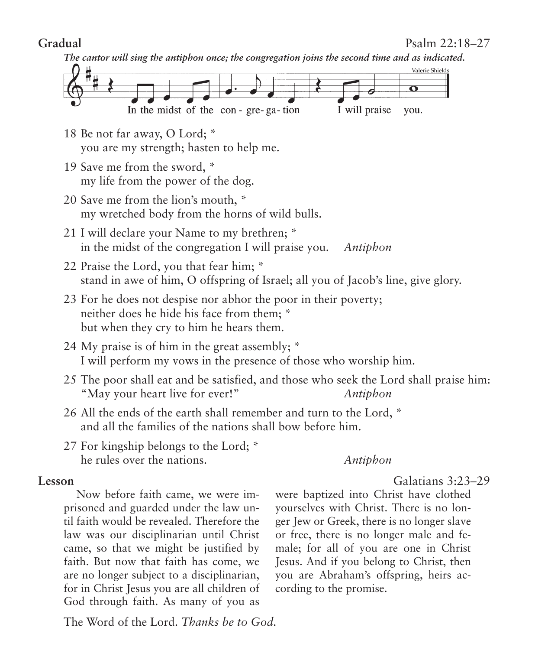

male; for all of you are one in Christ Jesus. And if you belong to Christ, then you are Abraham's offspring, heirs according to the promise.

The Word of the Lord. *Thanks be to God.*

faith. But now that faith has come, we are no longer subject to a disciplinarian, for in Christ Jesus you are all children of God through faith. As many of you as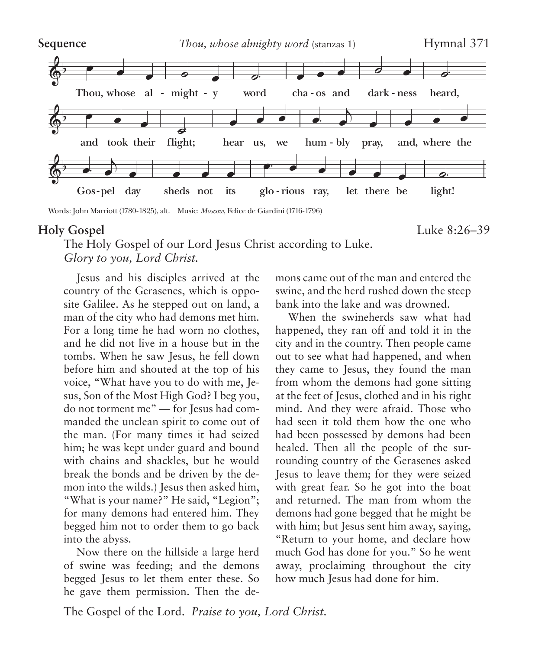

Words: John Marriott (1780-1825), alt. Music: *Moscow*, Felice de Giardini (1716-1796)

**Holy Gospel** Luke 8:26–39

The Holy Gospel of our Lord Jesus Christ according to Luke. *Glory to you, Lord Christ.*

Jesus and his disciples arrived at the country of the Gerasenes, which is opposite Galilee. As he stepped out on land, a man of the city who had demons met him. For a long time he had worn no clothes, and he did not live in a house but in the tombs. When he saw Jesus, he fell down before him and shouted at the top of his voice, "What have you to do with me, Jesus, Son of the Most High God? I beg you, do not torment me" — for Jesus had commanded the unclean spirit to come out of the man. (For many times it had seized him; he was kept under guard and bound with chains and shackles, but he would break the bonds and be driven by the demon into the wilds.) Jesus then asked him, "What is your name?" He said, "Legion"; for many demons had entered him. They begged him not to order them to go back into the abyss.

Now there on the hillside a large herd of swine was feeding; and the demons begged Jesus to let them enter these. So he gave them permission. Then the demons came out of the man and entered the swine, and the herd rushed down the steep bank into the lake and was drowned.

When the swineherds saw what had happened, they ran off and told it in the city and in the country. Then people came out to see what had happened, and when they came to Jesus, they found the man from whom the demons had gone sitting at the feet of Jesus, clothed and in his right mind. And they were afraid. Those who had seen it told them how the one who had been possessed by demons had been healed. Then all the people of the surrounding country of the Gerasenes asked Jesus to leave them; for they were seized with great fear. So he got into the boat and returned. The man from whom the demons had gone begged that he might be with him; but Jesus sent him away, saying, "Return to your home, and declare how much God has done for you." So he went away, proclaiming throughout the city how much Jesus had done for him.

The Gospel of the Lord. *Praise to you, Lord Christ.*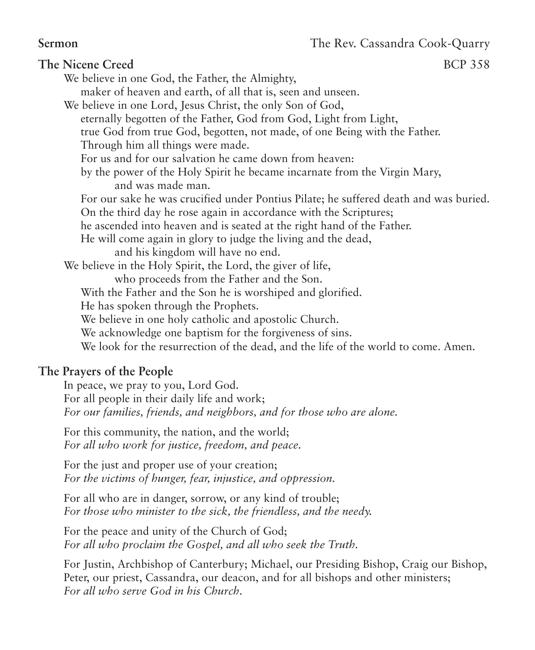#### **Sermon** The Rev. Cassandra Cook-Quarry

**The Nicene Creed** BCP 358 We believe in one God, the Father, the Almighty, maker of heaven and earth, of all that is, seen and unseen. We believe in one Lord, Jesus Christ, the only Son of God, eternally begotten of the Father, God from God, Light from Light, true God from true God, begotten, not made, of one Being with the Father. Through him all things were made. For us and for our salvation he came down from heaven: by the power of the Holy Spirit he became incarnate from the Virgin Mary, and was made man. For our sake he was crucified under Pontius Pilate; he suffered death and was buried. On the third day he rose again in accordance with the Scriptures; he ascended into heaven and is seated at the right hand of the Father. He will come again in glory to judge the living and the dead, and his kingdom will have no end. We believe in the Holy Spirit, the Lord, the giver of life, who proceeds from the Father and the Son. With the Father and the Son he is worshiped and glorified. He has spoken through the Prophets. We believe in one holy catholic and apostolic Church. We acknowledge one baptism for the forgiveness of sins. We look for the resurrection of the dead, and the life of the world to come. Amen. **The Prayers of the People**

In peace, we pray to you, Lord God. For all people in their daily life and work; *For our families, friends, and neighbors, and for those who are alone.*

For this community, the nation, and the world; *For all who work for justice, freedom, and peace.*

For the just and proper use of your creation; *For the victims of hunger, fear, injustice, and oppression.*

For all who are in danger, sorrow, or any kind of trouble; *For those who minister to the sick, the friendless, and the needy.*

For the peace and unity of the Church of God; *For all who proclaim the Gospel, and all who seek the Truth.*

For Justin, Archbishop of Canterbury; Michael, our Presiding Bishop, Craig our Bishop, Peter, our priest, Cassandra, our deacon, and for all bishops and other ministers; *For all who serve God in his Church.*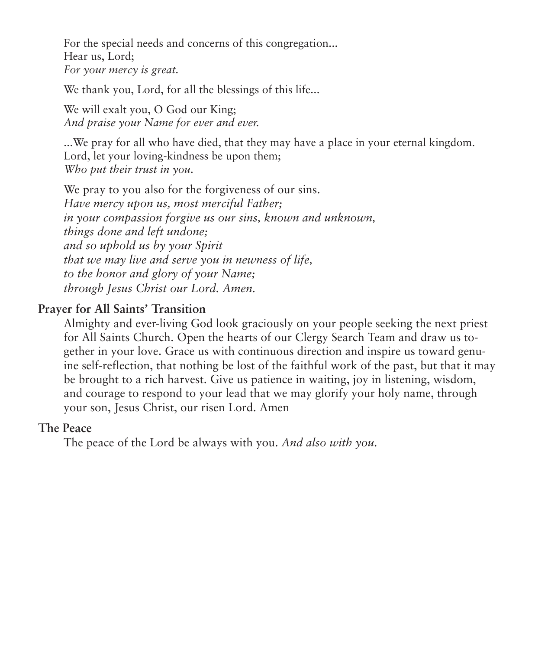For the special needs and concerns of this congregation... Hear us, Lord; *For your mercy is great.*

We thank you, Lord, for all the blessings of this life...

We will exalt you, O God our King; *And praise your Name for ever and ever.*

...We pray for all who have died, that they may have a place in your eternal kingdom. Lord, let your loving-kindness be upon them; *Who put their trust in you.* 

We pray to you also for the forgiveness of our sins. *Have mercy upon us, most merciful Father; in your compassion forgive us our sins, known and unknown, things done and left undone; and so uphold us by your Spirit that we may live and serve you in newness of life, to the honor and glory of your Name; through Jesus Christ our Lord. Amen.*

### **Prayer for All Saints' Transition**

Almighty and ever-living God look graciously on your people seeking the next priest for All Saints Church. Open the hearts of our Clergy Search Team and draw us together in your love. Grace us with continuous direction and inspire us toward genuine self-reflection, that nothing be lost of the faithful work of the past, but that it may be brought to a rich harvest. Give us patience in waiting, joy in listening, wisdom, and courage to respond to your lead that we may glorify your holy name, through your son, Jesus Christ, our risen Lord. Amen

#### **The Peace**

The peace of the Lord be always with you. *And also with you.*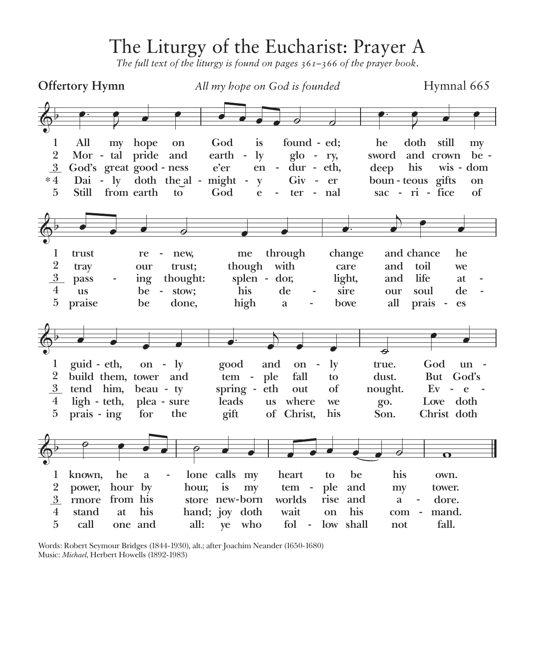# The Liturgy of the Eucharist: Prayer A

*The full text of the liturgy is found on pages 361–366 of the prayer book.*



Words: Robert Seymour Bridges (1844-1930), alt.; after Joachim Neander (1650-1680) Music: *Michael*, Herbert Howells (1892-1983)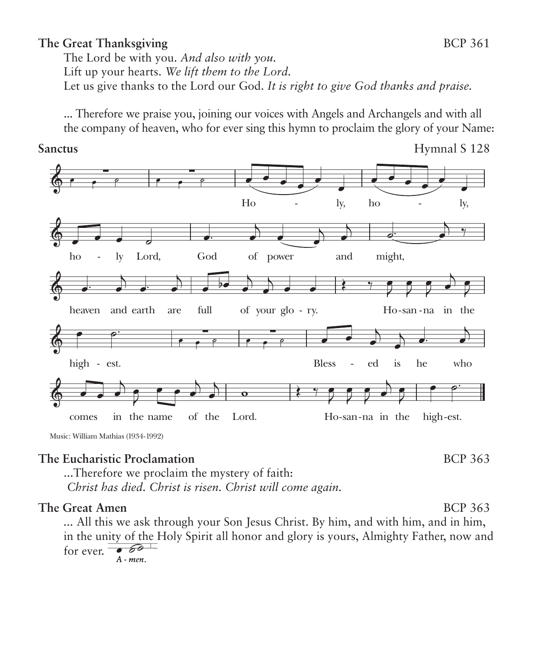#### **The Great Thanksgiving and South School School School School School School School School School School School School School School School School School School School School School School School School School School School**

The Lord be with you. *And also with you.*  Lift up your hearts. *We lift them to the Lord.*  Let us give thanks to the Lord our God. *It is right to give God thanks and praise.*

... Therefore we praise you, joining our voices with Angels and Archangels and with all the company of heaven, who for ever sing this hymn to proclaim the glory of your Name:



#### Music: William Mathias (1934-1992)

#### **The Eucharistic Proclamation BCP** 363

...Therefore we proclaim the mystery of faith: *Christ has died. Christ is risen. Christ will come again.* 

#### **The Great Amen** BCP 363

*...* All this we ask through your Son Jesus Christ. By him, and with him, and in him, in the unity of the Holy Spirit all honor and glory is yours, Almighty Father, now and for ever.  $\overline{\bullet}$  $A$  - men.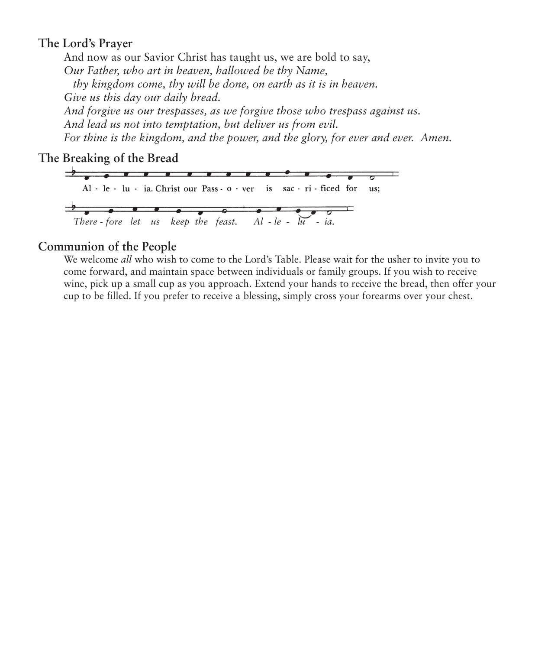#### **The Lord's Prayer**

And now as our Savior Christ has taught us, we are bold to say, *Our Father, who art in heaven, hallowed be thy Name, thy kingdom come, thy will be done, on earth as it is in heaven. Give us this day our daily bread. And forgive us our trespasses, as we forgive those who trespass against us. And lead us not into temptation, but deliver us from evil. For thine is the kingdom, and the power, and the glory, for ever and ever. Amen.* 

### **The Breaking of the Bread**



#### **Communion of the People**

We welcome *all* who wish to come to the Lord's Table. Please wait for the usher to invite you to come forward, and maintain space between individuals or family groups. If you wish to receive wine, pick up a small cup as you approach. Extend your hands to receive the bread, then offer your cup to be filled. If you prefer to receive a blessing, simply cross your forearms over your chest.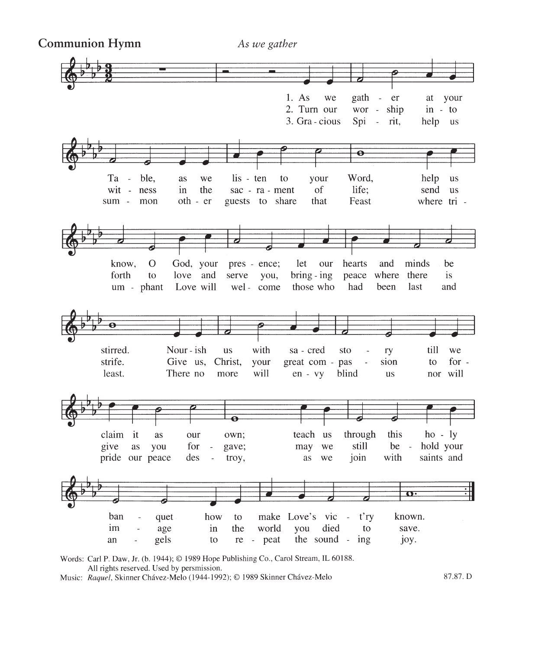

Words: Carl P. Daw, Jr. (b. 1944); © 1989 Hope Publishing Co., Carol Stream, IL 60188. All rights reserved. Used by persmission.

Music: Raquel, Skinner Chávez-Melo (1944-1992); © 1989 Skinner Chávez-Melo

87.87. D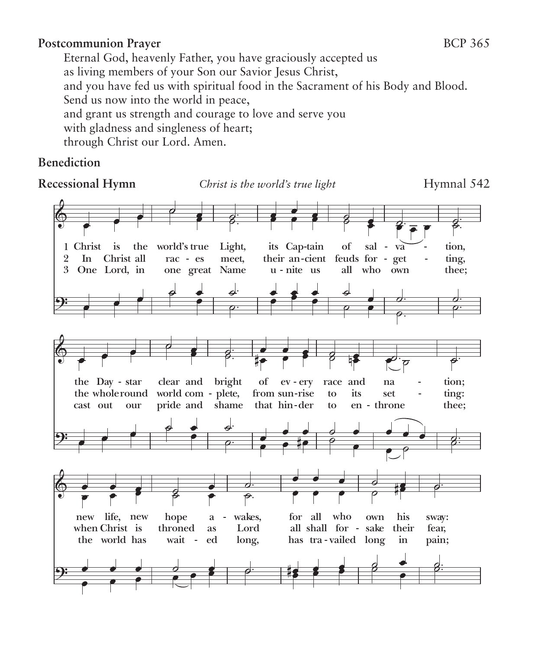#### **Postcommunion Prayer**

Eternal God, heavenly Father, you have graciously accepted us as living members of your Son our Savior Jesus Christ, and you have fed us with spiritual food in the Sacrament of his Body and Blood. Send us now into the world in peace, and grant us strength and courage to love and serve you with gladness and singleness of heart; through Christ our Lord. Amen.

**BCP 365** 

### **Benediction**

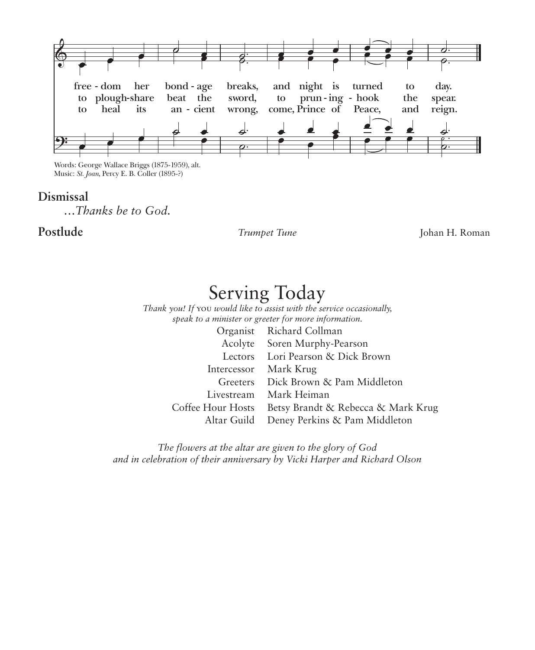

Words: George Wallace Briggs (1875-1959), alt. Music: St. Joan, Percy E. B. Coller (1895-?)

#### **Dismissal**

...Thanks be to God.

Postlude

Trumpet Tune

Johan H. Roman

# Serving Today

Thank you! If you would like to assist with the service occasionally, speak to a minister or greeter for more information.

Organist Richard Collman Acolyte Soren Murphy-Pearson Lectors Lori Pearson & Dick Brown Intercessor Mark Krug Greeters Dick Brown & Pam Middleton Livestream Mark Heiman Coffee Hour Hosts Betsy Brandt & Rebecca & Mark Krug Altar Guild Deney Perkins & Pam Middleton

The flowers at the altar are given to the glory of God and in celebration of their anniversary by Vicki Harper and Richard Olson